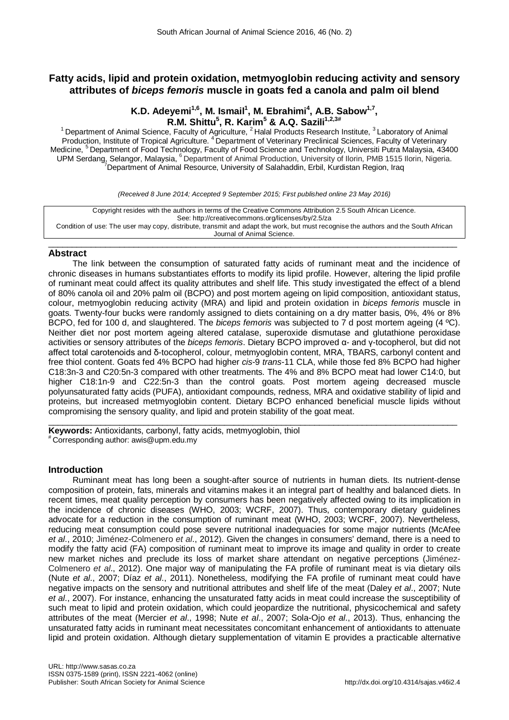# **Fatty acids, lipid and protein oxidation, metmyoglobin reducing activity and sensory attributes of** *biceps femoris* **muscle in goats fed a canola and palm oil blend**

# **K.D. Adeyemi<sup>1,6</sup>, M. Ismail<sup>1</sup>, M. Ebrahimi<sup>4</sup>, A.B. Sabow<sup>1,7</sup>, R.M. Shittu5 , R. Karim<sup>5</sup> & A.Q. Sazili1,2,3#**

<sup>1</sup> Department of Animal Science, Faculty of Agriculture,  $2$  Halal Products Research Institute,  $3$  Laboratory of Animal Production, Institute of Tropical Agriculture. <sup>4</sup> Department of Veterinary Preclinical Sciences, Faculty of Veterinary Medicine, <sup>5</sup> Department of Food Technology, Faculty of Food Science and Technology, Universiti Putra Malaysia, 43400 UPM Serdang, Selangor, Malaysia, <sup>6</sup> Department of Animal Production, University of Ilorin, PMB 1515 Ilorin, Nigeria.<br><sup>7</sup> Department of Animal Resource, University of Salahaddin, Erbil, Kurdistan Region, Iraq

*(Received 8 June 2014; Accepted 9 September 2015; First published online 23 May 2016)*

Copyright resides with the authors in terms of the Creative Commons Attribution 2.5 South African Licence. See: http://creativecommons.org/licenses/by/2.5/za Condition of use: The user may copy, distribute, transmit and adapt the work, but must recognise the authors and the South African Journal of Animal Science.

## $\_$  ,  $\_$  ,  $\_$  ,  $\_$  ,  $\_$  ,  $\_$  ,  $\_$  ,  $\_$  ,  $\_$  ,  $\_$  ,  $\_$  ,  $\_$  ,  $\_$  ,  $\_$  ,  $\_$  ,  $\_$  ,  $\_$  ,  $\_$  ,  $\_$  ,  $\_$  ,  $\_$  ,  $\_$  ,  $\_$  ,  $\_$  ,  $\_$  ,  $\_$  ,  $\_$  ,  $\_$  ,  $\_$  ,  $\_$  ,  $\_$  ,  $\_$  ,  $\_$  ,  $\_$  ,  $\_$  ,  $\_$  ,  $\_$  , **Abstract**

The link between the consumption of saturated fatty acids of ruminant meat and the incidence of chronic diseases in humans substantiates efforts to modify its lipid profile. However, altering the lipid profile of ruminant meat could affect its quality attributes and shelf life. This study investigated the effect of a blend of 80% canola oil and 20% palm oil (BCPO) and post mortem ageing on lipid composition, antioxidant status, colour, metmyoglobin reducing activity (MRA) and lipid and protein oxidation in *biceps femoris* muscle in goats. Twenty-four bucks were randomly assigned to diets containing on a dry matter basis, 0%, 4% or 8% BCPO, fed for 100 d, and slaughtered. The *biceps femoris* was subjected to 7 d post mortem ageing (4 ºC). Neither diet nor post mortem ageing altered catalase, superoxide dismutase and glutathione peroxidase activities or sensory attributes of the *biceps femoris*. Dietary BCPO improved α- and γ-tocopherol, but did not affect total carotenoids and δ-tocopherol, colour, metmyoglobin content, MRA, TBARS, carbonyl content and free thiol content. Goats fed 4% BCPO had higher *cis*-9 *trans*-11 CLA, while those fed 8% BCPO had higher C18:3n-3 and C20:5n-3 compared with other treatments. The 4% and 8% BCPO meat had lower C14:0, but higher C18:1n-9 and C22:5n-3 than the control goats. Post mortem ageing decreased muscle polyunsaturated fatty acids (PUFA), antioxidant compounds, redness, MRA and oxidative stability of lipid and proteins, but increased metmyoglobin content. Dietary BCPO enhanced beneficial muscle lipids without compromising the sensory quality, and lipid and protein stability of the goat meat.

\_\_\_\_\_\_\_\_\_\_\_\_\_\_\_\_\_\_\_\_\_\_\_\_\_\_\_\_\_\_\_\_\_\_\_\_\_\_\_\_\_\_\_\_\_\_\_\_\_\_\_\_\_\_\_\_\_\_\_\_\_\_\_\_\_\_\_\_\_\_\_\_\_\_\_\_\_\_\_\_\_\_\_\_\_\_ **Keywords:** Antioxidants, carbonyl, fatty acids, metmyoglobin, thiol # Corresponding author: awis@upm.edu.my

# **Introduction**

Ruminant meat has long been a sought-after source of nutrients in human diets. Its nutrient-dense composition of protein, fats, minerals and vitamins makes it an integral part of healthy and balanced diets. In recent times, meat quality perception by consumers has been negatively affected owing to its implication in the incidence of chronic diseases (WHO, 2003; WCRF, 2007). Thus, contemporary dietary guidelines advocate for a reduction in the consumption of ruminant meat (WHO, 2003; WCRF, 2007). Nevertheless, reducing meat consumption could pose severe nutritional inadequacies for some major nutrients (McAfee *et al*., 2010; Jiménez-Colmenero *et al*., 2012). Given the changes in consumers' demand, there is a need to modify the fatty acid (FA) composition of ruminant meat to improve its image and quality in order to create new market niches and preclude its loss of market share attendant on negative perceptions (Jiménez-Colmenero *et al*., 2012). One major way of manipulating the FA profile of ruminant meat is via dietary oils (Nute *et al*., 2007; Díaz *et al*., 2011). Nonetheless, modifying the FA profile of ruminant meat could have negative impacts on the sensory and nutritional attributes and shelf life of the meat (Daley *et al*., 2007; Nute *et al*., 2007). For instance, enhancing the unsaturated fatty acids in meat could increase the susceptibility of such meat to lipid and protein oxidation, which could jeopardize the nutritional, physicochemical and safety attributes of the meat (Mercier *et al*., 1998; Nute *et al*., 2007; Sola-Ojo *et al*., 2013). Thus, enhancing the unsaturated fatty acids in ruminant meat necessitates concomitant enhancement of antioxidants to attenuate lipid and protein oxidation. Although dietary supplementation of vitamin E provides a practicable alternative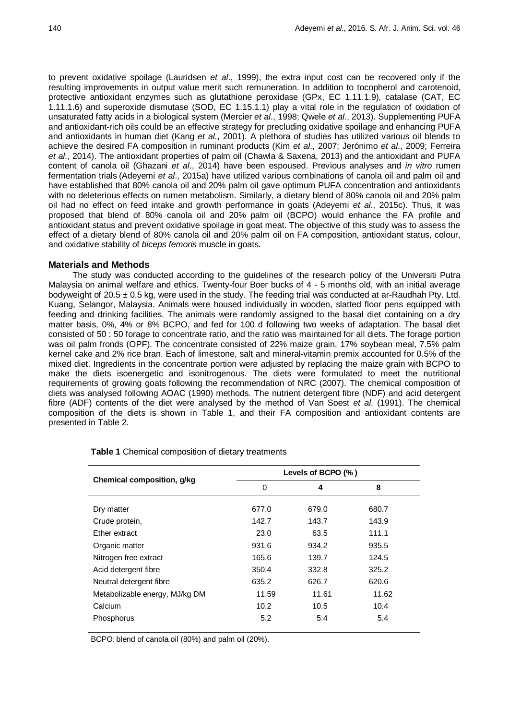to prevent oxidative spoilage (Lauridsen *et al*., 1999), the extra input cost can be recovered only if the resulting improvements in output value merit such remuneration. In addition to tocopherol and carotenoid, protective antioxidant enzymes such as glutathione peroxidase (GPx, EC 1.11.1.9), catalase (CAT, EC 1.11.1.6) and superoxide dismutase (SOD, EC 1.15.1.1) play a vital role in the regulation of oxidation of unsaturated fatty acids in a biological system (Mercier *et al*., 1998; Qwele *et al*., 2013). Supplementing PUFA and antioxidant-rich oils could be an effective strategy for precluding oxidative spoilage and enhancing PUFA and antioxidants in human diet (Kang *et al*., 2001). A plethora of studies has utilized various oil blends to achieve the desired FA composition in ruminant products (Kim *et al*., 2007; Jerónimo *et al*., 2009; Ferreira *et al*., 2014). The antioxidant properties of palm oil (Chawla & Saxena, 2013) and the antioxidant and PUFA content of canola oil (Ghazani *et al*., 2014) have been espoused. Previous analyses and *in vitro* rumen fermentation trials (Adeyemi *et al*., 2015a) have utilized various combinations of canola oil and palm oil and have established that 80% canola oil and 20% palm oil gave optimum PUFA concentration and antioxidants with no deleterious effects on rumen metabolism. Similarly, a dietary blend of 80% canola oil and 20% palm oil had no effect on feed intake and growth performance in goats (Adeyemi *et al*., 2015c). Thus, it was proposed that blend of 80% canola oil and 20% palm oil (BCPO) would enhance the FA profile and antioxidant status and prevent oxidative spoilage in goat meat. The objective of this study was to assess the effect of a dietary blend of 80% canola oil and 20% palm oil on FA composition, antioxidant status, colour, and oxidative stability of *biceps femoris* muscle in goats.

# **Materials and Methods**

The study was conducted according to the guidelines of the research policy of the Universiti Putra Malaysia on animal welfare and ethics. Twenty-four Boer bucks of 4 - 5 months old, with an initial average bodyweight of 20.5 ± 0.5 kg, were used in the study. The feeding trial was conducted at ar-Raudhah Pty. Ltd. Kuang, Selangor, Malaysia. Animals were housed individually in wooden, slatted floor pens equipped with feeding and drinking facilities. The animals were randomly assigned to the basal diet containing on a dry matter basis, 0%, 4% or 8% BCPO, and fed for 100 d following two weeks of adaptation. The basal diet consisted of 50 : 50 forage to concentrate ratio, and the ratio was maintained for all diets. The forage portion was oil palm fronds (OPF). The concentrate consisted of 22% maize grain, 17% soybean meal, 7.5% palm kernel cake and 2% rice bran. Each of limestone, salt and mineral-vitamin premix accounted for 0.5% of the mixed diet. Ingredients in the concentrate portion were adjusted by replacing the maize grain with BCPO to make the diets isoenergetic and isonitrogenous. The diets were formulated to meet the nutritional requirements of growing goats following the recommendation of NRC (2007). The chemical composition of diets was analysed following AOAC (1990) methods. The nutrient detergent fibre (NDF) and acid detergent fibre (ADF) contents of the diet were analysed by the method of Van Soest *et al*. (1991). The chemical composition of the diets is shown in Table 1, and their FA composition and antioxidant contents are presented in Table 2.

|                                | Levels of BCPO (%) |       |       |  |  |  |  |  |
|--------------------------------|--------------------|-------|-------|--|--|--|--|--|
| Chemical composition, g/kg     | 0                  | 4     | 8     |  |  |  |  |  |
|                                |                    |       |       |  |  |  |  |  |
| Dry matter                     | 677.0              | 679.0 | 680.7 |  |  |  |  |  |
| Crude protein,                 | 142.7              | 143.7 | 143.9 |  |  |  |  |  |
| Ether extract                  | 23.0               | 63.5  | 111.1 |  |  |  |  |  |
| Organic matter                 | 931.6              | 934.2 | 935.5 |  |  |  |  |  |
| Nitrogen free extract          | 165.6              | 139.7 | 124.5 |  |  |  |  |  |
| Acid detergent fibre           | 350.4              | 332.8 | 325.2 |  |  |  |  |  |
| Neutral detergent fibre        | 635.2              | 626.7 | 620.6 |  |  |  |  |  |
| Metabolizable energy, MJ/kg DM | 11.59              | 11.61 | 11.62 |  |  |  |  |  |
| Calcium                        | 10.2               | 10.5  | 10.4  |  |  |  |  |  |
| Phosphorus                     | 5.2                | 5.4   | 5.4   |  |  |  |  |  |
|                                |                    |       |       |  |  |  |  |  |

**Table 1** Chemical composition of dietary treatments

BCPO: blend of canola oil (80%) and palm oil (20%).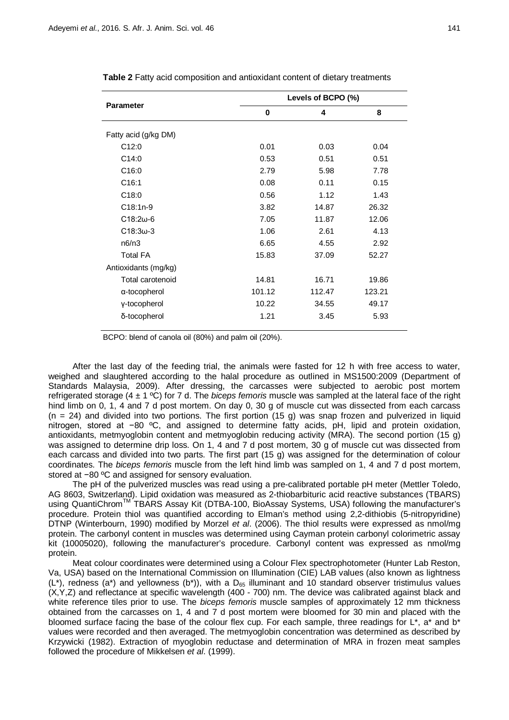| <b>Parameter</b>     | Levels of BCPO (%) |        |        |  |  |  |  |  |
|----------------------|--------------------|--------|--------|--|--|--|--|--|
|                      | 0                  | 4      | 8      |  |  |  |  |  |
| Fatty acid (g/kg DM) |                    |        |        |  |  |  |  |  |
| C12:0                | 0.01               | 0.03   | 0.04   |  |  |  |  |  |
| C14:0                | 0.53               | 0.51   | 0.51   |  |  |  |  |  |
| C16:0                | 2.79               | 5.98   | 7.78   |  |  |  |  |  |
| C16:1                | 0.08               | 0.11   | 0.15   |  |  |  |  |  |
| C18:0                | 0.56               | 1.12   | 1.43   |  |  |  |  |  |
| $C18:1n-9$           | 3.82               | 14.87  | 26.32  |  |  |  |  |  |
| $C18:2w-6$           | 7.05               | 11.87  | 12.06  |  |  |  |  |  |
| $C18:3w-3$           | 1.06               | 2.61   | 4.13   |  |  |  |  |  |
| n6/n3                | 6.65               | 4.55   | 2.92   |  |  |  |  |  |
| <b>Total FA</b>      | 15.83              | 37.09  | 52.27  |  |  |  |  |  |
| Antioxidants (mg/kg) |                    |        |        |  |  |  |  |  |
| Total carotenoid     | 14.81              | 16.71  | 19.86  |  |  |  |  |  |
| α-tocopherol         | 101.12             | 112.47 | 123.21 |  |  |  |  |  |
| y-tocopherol         | 10.22              | 34.55  | 49.17  |  |  |  |  |  |
| δ-tocopherol         | 1.21               | 3.45   | 5.93   |  |  |  |  |  |
|                      |                    |        |        |  |  |  |  |  |

**Table 2** Fatty acid composition and antioxidant content of dietary treatments

BCPO: blend of canola oil (80%) and palm oil (20%).

After the last day of the feeding trial, the animals were fasted for 12 h with free access to water, weighed and slaughtered according to the halal procedure as outlined in MS1500:2009 (Department of Standards Malaysia, 2009). After dressing, the carcasses were subjected to aerobic post mortem refrigerated storage (4 ± 1 ºC) for 7 d. The *biceps femoris* muscle was sampled at the lateral face of the right hind limb on 0, 1, 4 and 7 d post mortem. On day 0, 30 g of muscle cut was dissected from each carcass  $(n = 24)$  and divided into two portions. The first portion (15 g) was snap frozen and pulverized in liquid nitrogen, stored at −80 ºC, and assigned to determine fatty acids, pH, lipid and protein oxidation, antioxidants, metmyoglobin content and metmyoglobin reducing activity (MRA). The second portion (15 g) was assigned to determine drip loss. On 1, 4 and 7 d post mortem, 30 g of muscle cut was dissected from each carcass and divided into two parts. The first part (15 g) was assigned for the determination of colour coordinates. The *biceps femoris* muscle from the left hind limb was sampled on 1, 4 and 7 d post mortem, stored at −80 ºC and assigned for sensory evaluation.

The pH of the pulverized muscles was read using a pre-calibrated portable pH meter (Mettler Toledo, AG 8603, Switzerland). Lipid oxidation was measured as 2-thiobarbituric acid reactive substances (TBARS) using QuantiChromTM TBARS Assay Kit (DTBA-100, BioAssay Systems, USA) following the manufacturer's procedure. Protein thiol was quantified according to Elman's method using 2,2-dithiobis (5-nitropyridine) DTNP (Winterbourn, 1990) modified by Morzel *et al*. (2006). The thiol results were expressed as nmol/mg protein. The carbonyl content in muscles was determined using Cayman protein carbonyl colorimetric assay kit (10005020), following the manufacturer's procedure. Carbonyl content was expressed as nmol/mg protein.

Meat colour coordinates were determined using a Colour Flex spectrophotometer (Hunter Lab Reston, Va, USA) based on the International Commission on Illumination (CIE) LAB values (also known as lightness (L<sup>\*</sup>), redness (a<sup>\*</sup>) and yellowness (b<sup>\*</sup>)), with a D<sub>65</sub> illuminant and 10 standard observer tristimulus values (X,Y,Z) and reflectance at specific wavelength (400 - 700) nm. The device was calibrated against black and white reference tiles prior to use. The *biceps femoris* muscle samples of approximately 12 mm thickness obtained from the carcasses on 1, 4 and 7 d post mortem were bloomed for 30 min and placed with the bloomed surface facing the base of the colour flex cup. For each sample, three readings for L\*, a\* and b\* values were recorded and then averaged. The metmyoglobin concentration was determined as described by Krzywicki (1982). Extraction of myoglobin reductase and determination of MRA in frozen meat samples followed the procedure of Mikkelsen *et al*. (1999).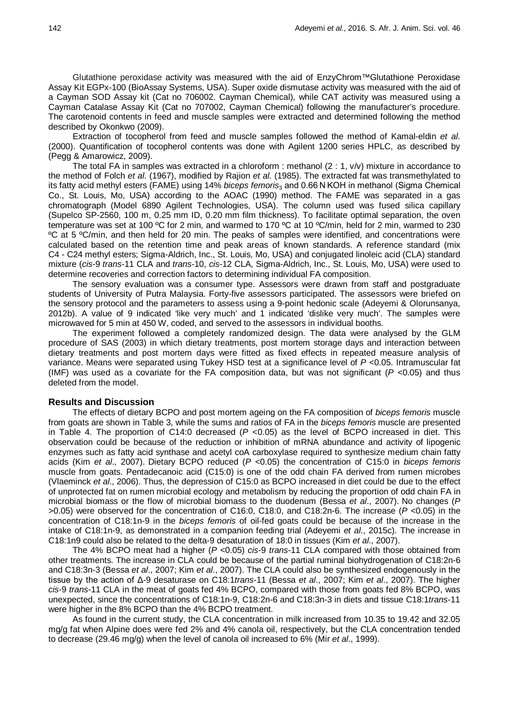Glutathione peroxidase activity was measured with the aid of EnzyChrom™Glutathione Peroxidase Assay Kit EGPx-100 (BioAssay Systems, USA). Super oxide dismutase activity was measured with the aid of a Cayman SOD Assay kit (Cat no 706002. Cayman Chemical), while CAT activity was measured using a Cayman Catalase Assay Kit (Cat no 707002, Cayman Chemical) following the manufacturer's procedure. The carotenoid contents in feed and muscle samples were extracted and determined following the method described by Okonkwo (2009).

Extraction of tocopherol from feed and muscle samples followed the method of Kamal-eldin *et al*. (2000). Quantification of tocopherol contents was done with Agilent 1200 series HPLC, as described by (Pegg & Amarowicz, 2009).

The total FA in samples was extracted in a chloroform : methanol (2 : 1, v/v) mixture in accordance to the method of Folch *et al*. (1967), modified by Rajion *et al*. (1985). The extracted fat was transmethylated to its fatty acid methyl esters (FAME) using 14% *biceps femoris*<sup>3</sup> and 0.66 N KOH in methanol (Sigma Chemical Co., St. Louis, Mo, USA) according to the AOAC (1990) method. The FAME was separated in a gas chromatograph (Model 6890 Agilent Technologies, USA). The column used was fused silica capillary (Supelco SP-2560, 100 m, 0.25 mm ID, 0.20 mm film thickness). To facilitate optimal separation, the oven temperature was set at 100 ºC for 2 min, and warmed to 170 ºC at 10 ºC/min, held for 2 min, warmed to 230 ºC at 5 ºC/min, and then held for 20 min. The peaks of samples were identified, and concentrations were calculated based on the retention time and peak areas of known standards. A reference standard (mix C4 - C24 methyl esters; Sigma-Aldrich, Inc., St. Louis, Mo, USA) and conjugated linoleic acid (CLA) standard mixture (*cis*-9 *trans*-11 CLA and *trans*-10, *cis*-12 CLA, Sigma-Aldrich, Inc., St. Louis, Mo, USA) were used to determine recoveries and correction factors to determining individual FA composition.

The sensory evaluation was a consumer type. Assessors were drawn from staff and postgraduate students of University of Putra Malaysia. Forty-five assessors participated. The assessors were briefed on the sensory protocol and the parameters to assess using a 9-point hedonic scale (Adeyemi & Olorunsanya, 2012b). A value of 9 indicated 'like very much' and 1 indicated 'dislike very much'. The samples were microwaved for 5 min at 450 W, coded, and served to the assessors in individual booths.

The experiment followed a completely randomized design. The data were analysed by the GLM procedure of SAS (2003) in which dietary treatments, post mortem storage days and interaction between dietary treatments and post mortem days were fitted as fixed effects in repeated measure analysis of variance. Means were separated using Tukey HSD test at a significance level of *P <*0.05. Intramuscular fat (IMF) was used as a covariate for the FA composition data, but was not significant (*P <*0.05) and thus deleted from the model.

## **Results and Discussion**

The effects of dietary BCPO and post mortem ageing on the FA composition of *biceps femoris* muscle from goats are shown in Table 3, while the sums and ratios of FA in the *biceps femoris* muscle are presented in Table 4. The proportion of C14:0 decreased (*P <*0.05) as the level of BCPO increased in diet. This observation could be because of the reduction or inhibition of mRNA abundance and activity of lipogenic enzymes such as fatty acid synthase and acetyl coA carboxylase required to synthesize medium chain fatty acids (Kim *et al*., 2007). Dietary BCPO reduced (*P <*0.05) the concentration of C15:0 in *biceps femoris* muscle from goats. Pentadecanoic acid (C15:0) is one of the odd chain FA derived from rumen microbes (Vlaeminck *et al*., 2006). Thus, the depression of C15:0 as BCPO increased in diet could be due to the effect of unprotected fat on rumen microbial ecology and metabolism by reducing the proportion of odd chain FA in microbial biomass or the flow of microbial biomass to the duodenum (Bessa *et al*., 2007). No changes (*P >*0.05) were observed for the concentration of C16:0, C18:0, and C18:2n-6. The increase (*P <*0.05) in the concentration of C18:1n-9 in the *biceps femoris* of oil-fed goats could be because of the increase in the intake of C18:1n-9, as demonstrated in a companion feeding trial (Adeyemi *et al*., 2015c). The increase in C18:1n9 could also be related to the delta-9 desaturation of 18:0 in tissues (Kim *et al*., 2007).

The 4% BCPO meat had a higher (*P <*0.05) *cis*-9 *trans*-11 CLA compared with those obtained from other treatments. The increase in CLA could be because of the partial ruminal biohydrogenation of C18:2n-6 and C18:3n-3 (Bessa *et al*., 2007; Kim *et al*., 2007). The CLA could also be synthesized endogenously in the tissue by the action of Δ-9 desaturase on C18:1*trans*-11 (Bessa *et al*., 2007; Kim *et al*., 2007). The higher *cis*-9 *trans*-11 CLA in the meat of goats fed 4% BCPO, compared with those from goats fed 8% BCPO, was unexpected, since the concentrations of C18:1n-9, C18:2n-6 and C18:3n-3 in diets and tissue C18:1*trans*-11 were higher in the 8% BCPO than the 4% BCPO treatment.

As found in the current study, the CLA concentration in milk increased from 10.35 to 19.42 and 32.05 mg/g fat when Alpine does were fed 2% and 4% canola oil, respectively, but the CLA concentration tended to decrease (29.46 mg/g) when the level of canola oil increased to 6% (Mir *et al*., 1999).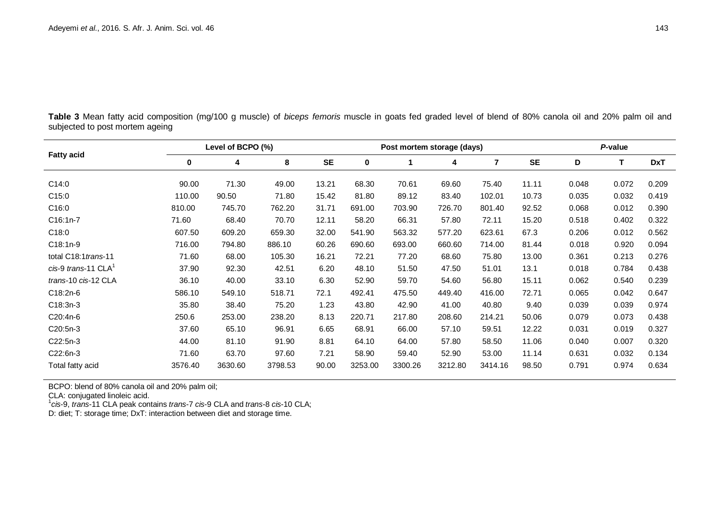**Table 3** Mean fatty acid composition (mg/100 g muscle) of *biceps femoris* muscle in goats fed graded level of blend of 80% canola oil and 20% palm oil and subjected to post mortem ageing

| <b>Fatty acid</b>                 |          | Level of BCPO (%) |         |           |         | Post mortem storage (days) | P-value |                |           |       |       |            |
|-----------------------------------|----------|-------------------|---------|-----------|---------|----------------------------|---------|----------------|-----------|-------|-------|------------|
|                                   | $\bf{0}$ | 4                 | 8       | <b>SE</b> | 0       |                            | 4       | $\overline{7}$ | <b>SE</b> | D     | T     | <b>DxT</b> |
| C14:0                             | 90.00    | 71.30             | 49.00   | 13.21     | 68.30   | 70.61                      | 69.60   | 75.40          | 11.11     | 0.048 | 0.072 | 0.209      |
| C15:0                             | 110.00   | 90.50             | 71.80   | 15.42     | 81.80   | 89.12                      | 83.40   | 102.01         | 10.73     | 0.035 | 0.032 | 0.419      |
| C16:0                             | 810.00   | 745.70            | 762.20  | 31.71     | 691.00  | 703.90                     | 726.70  | 801.40         | 92.52     | 0.068 | 0.012 | 0.390      |
| C16:1n-7                          | 71.60    | 68.40             | 70.70   | 12.11     | 58.20   | 66.31                      | 57.80   | 72.11          | 15.20     | 0.518 | 0.402 | 0.322      |
| C18:0                             | 607.50   | 609.20            | 659.30  | 32.00     | 541.90  | 563.32                     | 577.20  | 623.61         | 67.3      | 0.206 | 0.012 | 0.562      |
| $C18:1n-9$                        | 716.00   | 794.80            | 886.10  | 60.26     | 690.60  | 693.00                     | 660.60  | 714.00         | 81.44     | 0.018 | 0.920 | 0.094      |
| total C18:1 trans-11              | 71.60    | 68.00             | 105.30  | 16.21     | 72.21   | 77.20                      | 68.60   | 75.80          | 13.00     | 0.361 | 0.213 | 0.276      |
| $cis-9$ trans-11 CLA <sup>1</sup> | 37.90    | 92.30             | 42.51   | 6.20      | 48.10   | 51.50                      | 47.50   | 51.01          | 13.1      | 0.018 | 0.784 | 0.438      |
| trans-10 cis-12 CLA               | 36.10    | 40.00             | 33.10   | 6.30      | 52.90   | 59.70                      | 54.60   | 56.80          | 15.11     | 0.062 | 0.540 | 0.239      |
| C18:2n-6                          | 586.10   | 549.10            | 518.71  | 72.1      | 492.41  | 475.50                     | 449.40  | 416.00         | 72.71     | 0.065 | 0.042 | 0.647      |
| $C18:3n-3$                        | 35.80    | 38.40             | 75.20   | 1.23      | 43.80   | 42.90                      | 41.00   | 40.80          | 9.40      | 0.039 | 0.039 | 0.974      |
| C20:4n-6                          | 250.6    | 253.00            | 238.20  | 8.13      | 220.71  | 217.80                     | 208.60  | 214.21         | 50.06     | 0.079 | 0.073 | 0.438      |
| C20:5n-3                          | 37.60    | 65.10             | 96.91   | 6.65      | 68.91   | 66.00                      | 57.10   | 59.51          | 12.22     | 0.031 | 0.019 | 0.327      |
| C22:5n-3                          | 44.00    | 81.10             | 91.90   | 8.81      | 64.10   | 64.00                      | 57.80   | 58.50          | 11.06     | 0.040 | 0.007 | 0.320      |
| C22:6n-3                          | 71.60    | 63.70             | 97.60   | 7.21      | 58.90   | 59.40                      | 52.90   | 53.00          | 11.14     | 0.631 | 0.032 | 0.134      |
| Total fatty acid                  | 3576.40  | 3630.60           | 3798.53 | 90.00     | 3253.00 | 3300.26                    | 3212.80 | 3414.16        | 98.50     | 0.791 | 0.974 | 0.634      |

BCPO: blend of 80% canola oil and 20% palm oil;

CLA: conjugated linoleic acid. <sup>1</sup> *cis*-9, *trans*-11 CLA peak contains *trans*-7 *cis*-9 CLA and *trans*-8 *cis*-10 CLA;

D: diet; T: storage time; DxT: interaction between diet and storage time.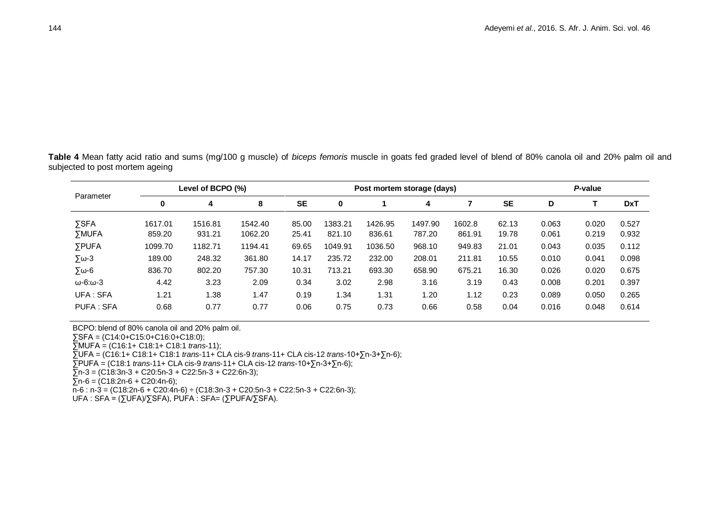**Table 4** Mean fatty acid ratio and sums (mg/100 g muscle) of *biceps femoris* muscle in goats fed graded level of blend of 80% canola oil and 20% palm oil and subjected to post mortem ageing

| Parameter                |         | Level of BCPO (%) |         |           |         | Post mortem storage (days) | P-value |        |           |       |       |            |
|--------------------------|---------|-------------------|---------|-----------|---------|----------------------------|---------|--------|-----------|-------|-------|------------|
|                          |         | 4                 | 8       | <b>SE</b> | 0       |                            | 4       |        | <b>SE</b> | D     |       | <b>DxT</b> |
| <b>SSFA</b>              | 1617.01 | 1516.81           | 1542.40 | 85.00     | 1383.21 | 1426.95                    | 1497.90 | 1602.8 | 62.13     | 0.063 | 0.020 | 0.527      |
| <b>SMUFA</b>             | 859.20  | 931.21            | 1062.20 | 25.41     | 821.10  | 836.61                     | 787.20  | 861.91 | 19.78     | 0.061 | 0.219 | 0.932      |
| <b>SPUFA</b>             | 1099.70 | 1182.71           | 1194.41 | 69.65     | 1049.91 | 1036.50                    | 968.10  | 949.83 | 21.01     | 0.043 | 0.035 | 0.112      |
| $\Sigma$ ω-3             | 189.00  | 248.32            | 361.80  | 14.17     | 235.72  | 232.00                     | 208.01  | 211.81 | 10.55     | 0.010 | 0.041 | 0.098      |
| $5\omega - 6$            | 836.70  | 802.20            | 757.30  | 10.31     | 713.21  | 693.30                     | 658.90  | 675.21 | 16.30     | 0.026 | 0.020 | 0.675      |
| $\omega$ -6: $\omega$ -3 | 4.42    | 3.23              | 2.09    | 0.34      | 3.02    | 2.98                       | 3.16    | 3.19   | 0.43      | 0.008 | 0.201 | 0.397      |
| UFA: SFA                 | 1.21    | 1.38              | 1.47    | 0.19      | 1.34    | 1.31                       | 1.20    | 1.12   | 0.23      | 0.089 | 0.050 | 0.265      |
| PUFA: SFA                | 0.68    | 0.77              | 0.77    | 0.06      | 0.75    | 0.73                       | 0.66    | 0.58   | 0.04      | 0.016 | 0.048 | 0.614      |

BCPO: blend of 80% canola oil and 20% palm oil.

∑SFA = (C14:0+C15:0+C16:0+C18:0);

∑MUFA = (C16:1+ C18:1+ C18:1 *trans*-11);

∑UFA = (C16:1+ C18:1+ C18:1 *trans*-11+ CLA cis-9 *trans*-11+ CLA cis-12 *trans*-10+∑n-3+∑n-6);

∑PUFA = (C18:1 *trans*-11+ CLA cis-9 *trans*-11+ CLA cis-12 *trans*-10+∑n-3+∑n-6);

 $\overline{5}$ n-3 = (C18:3n-3 + C20:5n-3 + C22:5n-3 + C22:6n-3);

 $\overline{\Sigma}$ n-6 = (C18:2n-6 + C20:4n-6);

 $\overline{n}$ -6 : n-3 = (C18:2n-6 + C20:4n-6) ÷ (C18:3n-3 + C20:5n-3 + C22:5n-3 + C22:6n-3);

UFA : SFA = (∑UFA)/∑SFA), PUFA : SFA= (∑PUFA/∑SFA).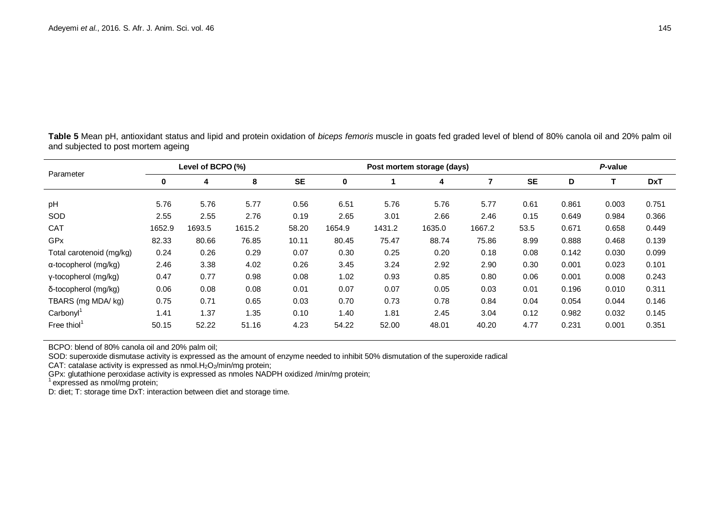**Table 5** Mean pH, antioxidant status and lipid and protein oxidation of *biceps femoris* muscle in goats fed graded level of blend of 80% canola oil and 20% palm oil and subjected to post mortem ageing

| Parameter                    |          | Level of BCPO (%) |        |           |          | Post mortem storage (days) |        |        |           |       |       | P-value    |  |  |
|------------------------------|----------|-------------------|--------|-----------|----------|----------------------------|--------|--------|-----------|-------|-------|------------|--|--|
|                              | $\bf{0}$ | 4                 | 8      | <b>SE</b> | $\bf{0}$ |                            | 4      | 7      | <b>SE</b> | D     |       | <b>DxT</b> |  |  |
| pH                           | 5.76     | 5.76              | 5.77   | 0.56      | 6.51     | 5.76                       | 5.76   | 5.77   | 0.61      | 0.861 | 0.003 | 0.751      |  |  |
| SOD                          | 2.55     | 2.55              | 2.76   | 0.19      | 2.65     | 3.01                       | 2.66   | 2.46   | 0.15      | 0.649 | 0.984 | 0.366      |  |  |
| <b>CAT</b>                   | 1652.9   | 1693.5            | 1615.2 | 58.20     | 1654.9   | 1431.2                     | 1635.0 | 1667.2 | 53.5      | 0.671 | 0.658 | 0.449      |  |  |
| <b>GPx</b>                   | 82.33    | 80.66             | 76.85  | 10.11     | 80.45    | 75.47                      | 88.74  | 75.86  | 8.99      | 0.888 | 0.468 | 0.139      |  |  |
| Total carotenoid (mg/kg)     | 0.24     | 0.26              | 0.29   | 0.07      | 0.30     | 0.25                       | 0.20   | 0.18   | 0.08      | 0.142 | 0.030 | 0.099      |  |  |
| $\alpha$ -tocopherol (mg/kg) | 2.46     | 3.38              | 4.02   | 0.26      | 3.45     | 3.24                       | 2.92   | 2.90   | 0.30      | 0.001 | 0.023 | 0.101      |  |  |
| γ-tocopherol (mg/kg)         | 0.47     | 0.77              | 0.98   | 0.08      | 1.02     | 0.93                       | 0.85   | 0.80   | 0.06      | 0.001 | 0.008 | 0.243      |  |  |
| δ-tocopherol (mg/kg)         | 0.06     | 0.08              | 0.08   | 0.01      | 0.07     | 0.07                       | 0.05   | 0.03   | 0.01      | 0.196 | 0.010 | 0.311      |  |  |
| TBARS (mg MDA/kg)            | 0.75     | 0.71              | 0.65   | 0.03      | 0.70     | 0.73                       | 0.78   | 0.84   | 0.04      | 0.054 | 0.044 | 0.146      |  |  |
| Carbonyl <sup>1</sup>        | 1.41     | 1.37              | 1.35   | 0.10      | 1.40     | 1.81                       | 2.45   | 3.04   | 0.12      | 0.982 | 0.032 | 0.145      |  |  |
| Free thiol                   | 50.15    | 52.22             | 51.16  | 4.23      | 54.22    | 52.00                      | 48.01  | 40.20  | 4.77      | 0.231 | 0.001 | 0.351      |  |  |

BCPO: blend of 80% canola oil and 20% palm oil;

SOD: superoxide dismutase activity is expressed as the amount of enzyme needed to inhibit 50% dismutation of the superoxide radical

CAT: catalase activity is expressed as nmol.H $_2$ O $_2$ /min/mg protein;

GPx: glutathione peroxidase activity is expressed as nmoles NADPH oxidized /min/mg protein;<br><sup>1</sup> expressed as nmol/mg protein;

D: diet; T: storage time DxT: interaction between diet and storage time.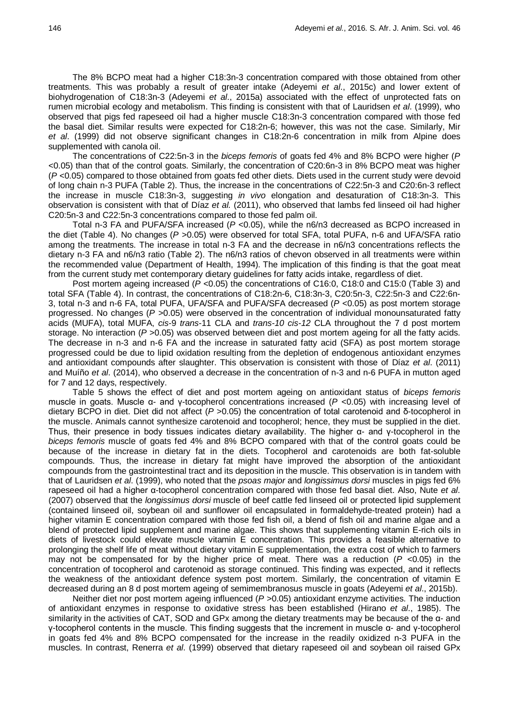The 8% BCPO meat had a higher C18:3n-3 concentration compared with those obtained from other treatments. This was probably a result of greater intake (Adeyemi *et al*., 2015c) and lower extent of biohydrogenation of C18:3n-3 (Adeyemi *et al*., 2015a) associated with the effect of unprotected fats on rumen microbial ecology and metabolism. This finding is consistent with that of Lauridsen *et al*. (1999), who observed that pigs fed rapeseed oil had a higher muscle C18:3n-3 concentration compared with those fed the basal diet. Similar results were expected for C18:2n-6; however, this was not the case. Similarly, Mir *et al*. (1999) did not observe significant changes in C18:2n-6 concentration in milk from Alpine does supplemented with canola oil.

The concentrations of C22:5n-3 in the *biceps femoris* of goats fed 4% and 8% BCPO were higher (*P <*0.05) than that of the control goats. Similarly, the concentration of C20:6n-3 in 8% BCPO meat was higher (*P <*0.05) compared to those obtained from goats fed other diets. Diets used in the current study were devoid of long chain n-3 PUFA (Table 2). Thus, the increase in the concentrations of C22:5n-3 and C20:6n-3 reflect the increase in muscle C18:3n-3, suggesting *in vivo* elongation and desaturation of C18:3n-3. This observation is consistent with that of Díaz *et al.* (2011), who observed that lambs fed linseed oil had higher C20:5n-3 and C22:5n-3 concentrations compared to those fed palm oil.

Total n-3 FA and PUFA/SFA increased (*P <*0.05), while the n6/n3 decreased as BCPO increased in the diet (Table 4). No changes (*P >*0.05) were observed for total SFA, total PUFA, n-6 and UFA/SFA ratio among the treatments. The increase in total n-3 FA and the decrease in n6/n3 concentrations reflects the dietary n-3 FA and n6/n3 ratio (Table 2). The n6/n3 ratios of chevon observed in all treatments were within the recommended value (Department of Health, 1994). The implication of this finding is that the goat meat from the current study met contemporary dietary guidelines for fatty acids intake, regardless of diet.

Post mortem ageing increased (*P <*0.05) the concentrations of C16:0, C18:0 and C15:0 (Table 3) and total SFA (Table 4). In contrast, the concentrations of C18:2n-6, C18:3n-3, C20:5n-3, C22:5n-3 and C22:6n-3, total n-3 and n-6 FA, total PUFA, UFA/SFA and PUFA/SFA decreased (*P <*0.05) as post mortem storage progressed. No changes (*P >*0.05) were observed in the concentration of individual monounsaturated fatty acids (MUFA), total MUFA, *cis*-9 *trans*-11 CLA and *trans-10 cis-12* CLA throughout the 7 d post mortem storage. No interaction (*P >*0.05) was observed between diet and post mortem ageing for all the fatty acids. The decrease in n-3 and n-6 FA and the increase in saturated fatty acid (SFA) as post mortem storage progressed could be due to lipid oxidation resulting from the depletion of endogenous antioxidant enzymes and antioxidant compounds after slaughter. This observation is consistent with those of Díaz *et al*. (2011) and Muíño *et al*. (2014), who observed a decrease in the concentration of n-3 and n-6 PUFA in mutton aged for 7 and 12 days, respectively.

Table 5 shows the effect of diet and post mortem ageing on antioxidant status of *biceps femoris* muscle in goats. Muscle α- and γ-tocopherol concentrations increased (*P <*0.05) with increasing level of dietary BCPO in diet. Diet did not affect (*P >*0.05) the concentration of total carotenoid and δ-tocopherol in the muscle. Animals cannot synthesize carotenoid and tocopherol; hence, they must be supplied in the diet. Thus, their presence in body tissues indicates dietary availability. The higher α- and γ-tocopherol in the *biceps femoris* muscle of goats fed 4% and 8% BCPO compared with that of the control goats could be because of the increase in dietary fat in the diets. Tocopherol and carotenoids are both fat-soluble compounds. Thus, the increase in dietary fat might have improved the absorption of the antioxidant compounds from the gastrointestinal tract and its deposition in the muscle. This observation is in tandem with that of Lauridsen *et al*. (1999), who noted that the *psoas major* and *longissimus dorsi* muscles in pigs fed 6% rapeseed oil had a higher α-tocopherol concentration compared with those fed basal diet. Also, Nute *et al*. (2007) observed that the *longissimus dorsi* muscle of beef cattle fed linseed oil or protected lipid supplement (contained linseed oil, soybean oil and sunflower oil encapsulated in formaldehyde-treated protein) had a higher vitamin E concentration compared with those fed fish oil, a blend of fish oil and marine algae and a blend of protected lipid supplement and marine algae. This shows that supplementing vitamin E-rich oils in diets of livestock could elevate muscle vitamin E concentration. This provides a feasible alternative to prolonging the shelf life of meat without dietary vitamin E supplementation, the extra cost of which to farmers may not be compensated for by the higher price of meat. There was a reduction (*P <*0.05) in the concentration of tocopherol and carotenoid as storage continued. This finding was expected, and it reflects the weakness of the antioxidant defence system post mortem. Similarly, the concentration of vitamin E decreased during an 8 d post mortem ageing of semimembranosus muscle in goats (Adeyemi *et al*., 2015b).

Neither diet nor post mortem ageing influenced (*P >*0.05) antioxidant enzyme activities. The induction of antioxidant enzymes in response to oxidative stress has been established (Hirano *et al*., 1985). The similarity in the activities of CAT, SOD and GPx among the dietary treatments may be because of the α- and γ-tocopherol contents in the muscle. This finding suggests that the increment in muscle α- and γ-tocopherol in goats fed 4% and 8% BCPO compensated for the increase in the readily oxidized n-3 PUFA in the muscles. In contrast, Renerra *et al*. (1999) observed that dietary rapeseed oil and soybean oil raised GPx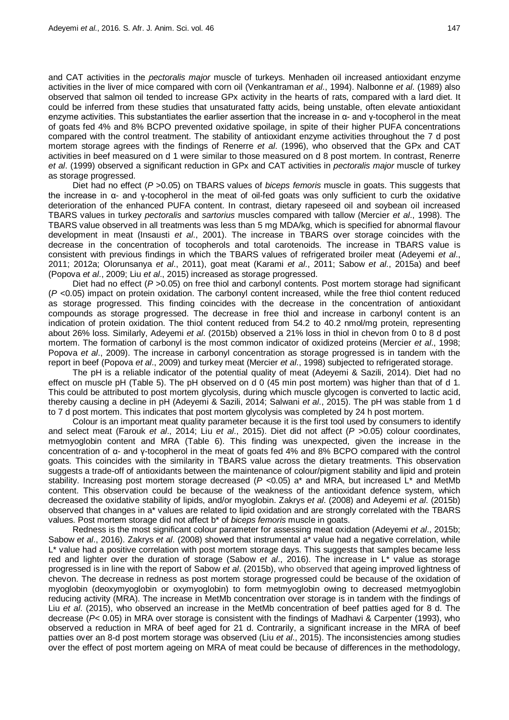and CAT activities in the *pectoralis major* muscle of turkeys. Menhaden oil increased antioxidant enzyme activities in the liver of mice compared with corn oil (Venkantraman *et al*., 1994). Nalbonne *et al*. (1989) also observed that salmon oil tended to increase GPx activity in the hearts of rats, compared with a lard diet. It could be inferred from these studies that unsaturated fatty acids, being unstable, often elevate antioxidant enzyme activities. This substantiates the earlier assertion that the increase in  $\alpha$ - and y-tocopherol in the meat of goats fed 4% and 8% BCPO prevented oxidative spoilage, in spite of their higher PUFA concentrations compared with the control treatment. The stability of antioxidant enzyme activities throughout the 7 d post mortem storage agrees with the findings of Renerre *et al*. (1996), who observed that the GPx and CAT activities in beef measured on d 1 were similar to those measured on d 8 post mortem. In contrast, Renerre *et al*. (1999) observed a significant reduction in GPx and CAT activities in *pectoralis major* muscle of turkey as storage progressed.

Diet had no effect (*P >*0.05) on TBARS values of *biceps femoris* muscle in goats. This suggests that the increase in α- and γ-tocopherol in the meat of oil-fed goats was only sufficient to curb the oxidative deterioration of the enhanced PUFA content. In contrast, dietary rapeseed oil and soybean oil increased TBARS values in turkey *pectoralis* and *sartorius* muscles compared with tallow (Mercier *et al*., 1998). The TBARS value observed in all treatments was less than 5 mg MDA/kg, which is specified for abnormal flavour development in meat (Insausti *et al*., 2001). The increase in TBARS over storage coincides with the decrease in the concentration of tocopherols and total carotenoids. The increase in TBARS value is consistent with previous findings in which the TBARS values of refrigerated broiler meat (Adeyemi *et al*., 2011; 2012a; Olorunsanya *et al*., 2011), goat meat (Karami *et al*., 2011; Sabow *et al*., 2015a) and beef (Popova *et al*., 2009; Liu *et al*., 2015) increased as storage progressed.

Diet had no effect (*P >*0.05) on free thiol and carbonyl contents. Post mortem storage had significant (*P <*0.05) impact on protein oxidation. The carbonyl content increased, while the free thiol content reduced as storage progressed. This finding coincides with the decrease in the concentration of antioxidant compounds as storage progressed. The decrease in free thiol and increase in carbonyl content is an indication of protein oxidation. The thiol content reduced from 54.2 to 40.2 nmol/mg protein, representing about 26% loss. Similarly, Adeyemi *et al*. (2015b) observed a 21% loss in thiol in chevon from 0 to 8 d post mortem. The formation of carbonyl is the most common indicator of oxidized proteins (Mercier *et al*., 1998; Popova *et al*., 2009). The increase in carbonyl concentration as storage progressed is in tandem with the report in beef (Popova *et al*., 2009) and turkey meat (Mercier *et al*., 1998) subjected to refrigerated storage.

The pH is a reliable indicator of the potential quality of meat (Adeyemi & Sazili, 2014). Diet had no effect on muscle pH (Table 5). The pH observed on d 0 (45 min post mortem) was higher than that of d 1. This could be attributed to post mortem glycolysis, during which muscle glycogen is converted to lactic acid, thereby causing a decline in pH (Adeyemi & Sazili, 2014; Salwani *et al*., 2015). The pH was stable from 1 d to 7 d post mortem. This indicates that post mortem glycolysis was completed by 24 h post mortem.

Colour is an important meat quality parameter because it is the first tool used by consumers to identify and select meat (Farouk *et al*., 2014; Liu *et al*., 2015). Diet did not affect (*P >*0.05) colour coordinates, metmyoglobin content and MRA (Table 6). This finding was unexpected, given the increase in the concentration of α- and γ-tocopherol in the meat of goats fed 4% and 8% BCPO compared with the control goats. This coincides with the similarity in TBARS value across the dietary treatments. This observation suggests a trade-off of antioxidants between the maintenance of colour/pigment stability and lipid and protein stability. Increasing post mortem storage decreased (*P <*0.05) a\* and MRA, but increased L\* and MetMb content. This observation could be because of the weakness of the antioxidant defence system, which decreased the oxidative stability of lipids, and/or myoglobin. Zakrys *et al*. (2008) and Adeyemi *et al*. (2015b) observed that changes in a\* values are related to lipid oxidation and are strongly correlated with the TBARS values. Post mortem storage did not affect b\* of *biceps femoris* muscle in goats.

Redness is the most significant colour parameter for assessing meat oxidation (Adeyemi *et al*., 2015b; Sabow *et al*., 2016). Zakrys *et al*. (2008) showed that instrumental a\* value had a negative correlation, while L<sup>\*</sup> value had a positive correlation with post mortem storage days. This suggests that samples became less red and lighter over the duration of storage (Sabow *et al*., 2016). The increase in L\* value as storage progressed is in line with the report of Sabow *et al*. (2015b), who observed that ageing improved lightness of chevon. The decrease in redness as post mortem storage progressed could be because of the oxidation of myoglobin (deoxymyoglobin or oxymyoglobin) to form metmyoglobin owing to decreased metmyoglobin reducing activity (MRA). The increase in MetMb concentration over storage is in tandem with the findings of Liu *et al*. (2015), who observed an increase in the MetMb concentration of beef patties aged for 8 d. The decrease (*P<* 0.05) in MRA over storage is consistent with the findings of Madhavi & Carpenter (1993), who observed a reduction in MRA of beef aged for 21 d. Contrarily, a significant increase in the MRA of beef patties over an 8-d post mortem storage was observed (Liu *et al*., 2015). The inconsistencies among studies over the effect of post mortem ageing on MRA of meat could be because of differences in the methodology,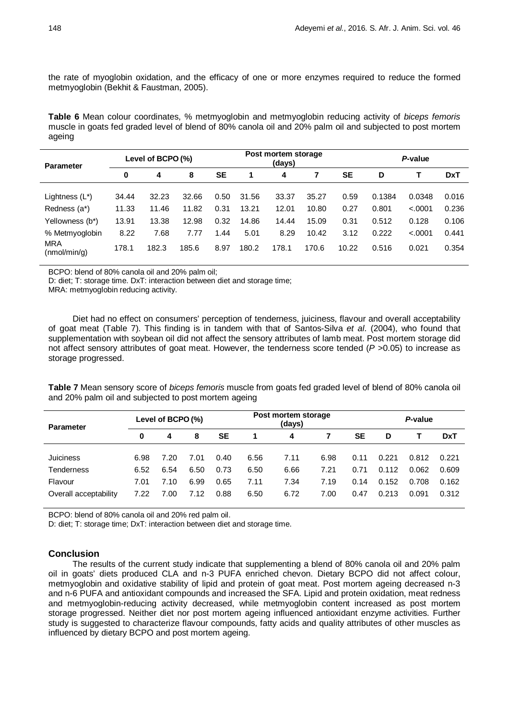the rate of myoglobin oxidation, and the efficacy of one or more enzymes required to reduce the formed metmyoglobin (Bekhit & Faustman, 2005).

**Table 6** Mean colour coordinates, % metmyoglobin and metmyoglobin reducing activity of *biceps femoris* muscle in goats fed graded level of blend of 80% canola oil and 20% palm oil and subjected to post mortem ageing

| <b>Parameter</b>           |          | Level of BCPO (%) |       |           |       | Post mortem storage<br>(days) | P-value |           |        |         |            |
|----------------------------|----------|-------------------|-------|-----------|-------|-------------------------------|---------|-----------|--------|---------|------------|
|                            | $\bf{0}$ | 4                 | 8     | <b>SE</b> | 1     | 4                             |         | <b>SE</b> | D      |         | <b>DxT</b> |
| Lightness $(L^*)$          | 34.44    | 32.23             | 32.66 | 0.50      | 31.56 | 33.37                         | 35.27   | 0.59      | 0.1384 | 0.0348  | 0.016      |
| Redness (a*)               | 11.33    | 11.46             | 11.82 | 0.31      | 13.21 | 12.01                         | 10.80   | 0.27      | 0.801  | < .0001 | 0.236      |
| Yellowness (b*)            | 13.91    | 13.38             | 12.98 | 0.32      | 14.86 | 14.44                         | 15.09   | 0.31      | 0.512  | 0.128   | 0.106      |
| % Metmyoglobin             | 8.22     | 7.68              | 7.77  | .44       | 5.01  | 8.29                          | 10.42   | 3.12      | 0.222  | < .0001 | 0.441      |
| <b>MRA</b><br>(nmol/min/g) | 178.1    | 182.3             | 185.6 | 8.97      | 180.2 | 178.1                         | 170.6   | 10.22     | 0.516  | 0.021   | 0.354      |

BCPO: blend of 80% canola oil and 20% palm oil;

D: diet; T: storage time. DxT: interaction between diet and storage time;

MRA: metmyoglobin reducing activity.

Diet had no effect on consumers' perception of tenderness, juiciness, flavour and overall acceptability of goat meat (Table 7). This finding is in tandem with that of Santos-Silva *et al*. (2004), who found that supplementation with soybean oil did not affect the sensory attributes of lamb meat. Post mortem storage did not affect sensory attributes of goat meat. However, the tenderness score tended (*P >*0.05) to increase as storage progressed.

**Table 7** Mean sensory score of *biceps femoris* muscle from goats fed graded level of blend of 80% canola oil and 20% palm oil and subjected to post mortem ageing

| <b>Parameter</b>      | Level of BCPO (%) |      |      |           |      | Post mortem storage<br>(days) | P-value |           |       |       |            |
|-----------------------|-------------------|------|------|-----------|------|-------------------------------|---------|-----------|-------|-------|------------|
|                       | 0                 | 4    | 8    | <b>SE</b> |      | 4                             |         | <b>SE</b> | D     |       | <b>DxT</b> |
| <b>Juiciness</b>      | 6.98              | 7.20 | 7.01 | 0.40      | 6.56 | 7.11                          | 6.98    | 0.11      | 0.221 | 0.812 | 0.221      |
| Tenderness            | 6.52              | 6.54 | 6.50 | 0.73      | 6.50 | 6.66                          | 7.21    | 0.71      | 0.112 | 0.062 | 0.609      |
| Flavour               | 7.01              | 7.10 | 6.99 | 0.65      | 7.11 | 7.34                          | 7.19    | 0.14      | 0.152 | 0.708 | 0.162      |
| Overall acceptability | 7.22              | 7.00 | 7.12 | 0.88      | 6.50 | 6.72                          | 7.00    | 0.47      | 0.213 | 0.091 | 0.312      |

BCPO: blend of 80% canola oil and 20% red palm oil.

D: diet; T: storage time; DxT: interaction between diet and storage time.

# **Conclusion**

The results of the current study indicate that supplementing a blend of 80% canola oil and 20% palm oil in goats' diets produced CLA and n-3 PUFA enriched chevon. Dietary BCPO did not affect colour, metmyoglobin and oxidative stability of lipid and protein of goat meat. Post mortem ageing decreased n-3 and n-6 PUFA and antioxidant compounds and increased the SFA. Lipid and protein oxidation, meat redness and metmyoglobin-reducing activity decreased, while metmyoglobin content increased as post mortem storage progressed. Neither diet nor post mortem ageing influenced antioxidant enzyme activities. Further study is suggested to characterize flavour compounds, fatty acids and quality attributes of other muscles as influenced by dietary BCPO and post mortem ageing.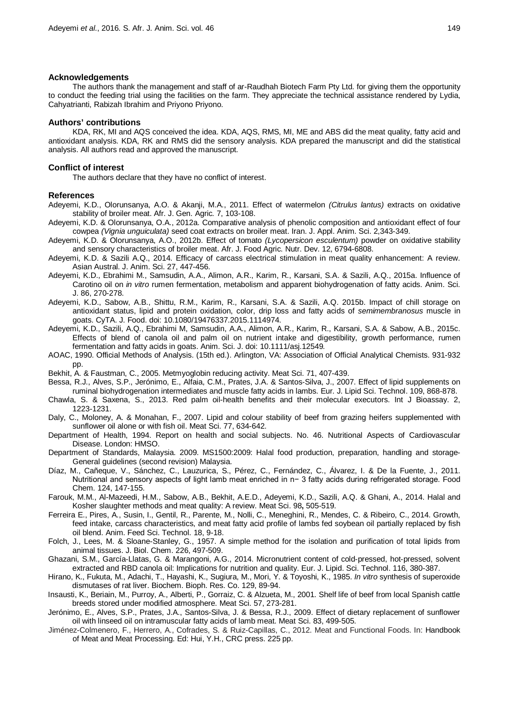#### **Acknowledgements**

The authors thank the management and staff of ar-Raudhah Biotech Farm Pty Ltd. for giving them the opportunity to conduct the feeding trial using the facilities on the farm. They appreciate the technical assistance rendered by Lydia, Cahyatrianti, Rabizah Ibrahim and Priyono Priyono.

#### **Authors' contributions**

KDA, RK, MI and AQS conceived the idea. KDA, AQS, RMS, MI, ME and ABS did the meat quality, fatty acid and antioxidant analysis. KDA, RK and RMS did the sensory analysis. KDA prepared the manuscript and did the statistical analysis. All authors read and approved the manuscript.

### **Conflict of interest**

The authors declare that they have no conflict of interest.

## **References**

Adeyemi, K.D., Olorunsanya, A.O. & Akanji, M.A., 2011. Effect of watermelon *(Citrulus lantus)* extracts on oxidative stability of broiler meat. Afr. J. Gen. Agric*.* 7, 103-108.

- Adeyemi, K.D. & Olorunsanya, O.A., 2012a. Comparative analysis of phenolic composition and antioxidant effect of four cowpea *(Vignia unguiculata)* seed coat extracts on broiler meat. Iran. J. Appl. Anim. Sci. 2,343-349.
- Adeyemi, K.D. & Olorunsanya, A.O., 2012b. Effect of tomato *(Lycopersicon esculentum)* powder on oxidative stability and sensory characteristics of broiler meat. Afr. J. Food Agric. Nutr. Dev. 12, 6794-6808.
- Adeyemi, K.D. & Sazili A.Q., 2014. Efficacy of carcass electrical stimulation in meat quality enhancement: A review. Asian Austral. J. Anim. Sci. 27, 447-456.
- Adeyemi, K.D., Ebrahimi M., Samsudin, A.A., Alimon, A.R., Karim, R., Karsani, S.A. & Sazili, A.Q., 2015a. Influence of Carotino oil on *in vitro* rumen fermentation, metabolism and apparent biohydrogenation of fatty acids. Anim. Sci. J. 86, 270-278.
- Adeyemi, K.D., Sabow, A.B., Shittu, R.M., Karim, R., Karsani, S.A. & Sazili, A.Q. 2015b. Impact of chill storage on antioxidant status, lipid and protein oxidation, color, drip loss and fatty acids of *semimembranosus* muscle in goats. CyTA. J. Food. doi: 10.1080/19476337.2015.1114974.
- Adeyemi, K.D., Sazili, A.Q., Ebrahimi M, Samsudin, A.A., Alimon, A.R., Karim, R., Karsani, S.A. & Sabow, A.B., 2015c. Effects of blend of canola oil and palm oil on nutrient intake and digestibility, growth performance, rumen fermentation and fatty acids in goats. Anim. Sci. J. doi: 10.1111/asj.12549*.*
- AOAC, 1990. Official Methods of Analysis. (15th ed.). Arlington, VA: Association of Official Analytical Chemists. 931-932 pp.
- Bekhit, A. & Faustman, C., 2005. Metmyoglobin reducing activity. Meat Sci. 71, 407-439.
- Bessa, R.J., Alves, S.P., Jerónimo, E., Alfaia, C.M., Prates, J.A. & Santos‐Silva, J., 2007. Effect of lipid supplements on ruminal biohydrogenation intermediates and muscle fatty acids in lambs. Eur. J. Lipid Sci. Technol. 109, 868-878.
- Chawla, S. & Saxena, S., 2013. Red palm oil-health benefits and their molecular executors. Int J Bioassay. 2, 1223-1231.
- Daly, C., Moloney, A. & Monahan, F., 2007. Lipid and colour stability of beef from grazing heifers supplemented with sunflower oil alone or with fish oil. Meat Sci. 77, 634-642.
- Department of Health, 1994. Report on health and social subjects. No. 46. Nutritional Aspects of Cardiovascular Disease. London: HMSO.
- Department of Standards, Malaysia. 2009. MS1500:2009: Halal food production, preparation, handling and storage-General guidelines (second revision) Malaysia.
- Díaz, M., Cañeque, V., Sánchez, C., Lauzurica, S., Pérez, C., Fernández, C., Álvarez, I. & De la Fuente, J., 2011. Nutritional and sensory aspects of light lamb meat enriched in n− 3 fatty acids during refrigerated storage. Food Chem. 124, 147-155.
- Farouk, M.M., Al-Mazeedi, H.M., Sabow, A.B., Bekhit, A.E.D., Adeyemi, K.D., Sazili, A.Q. & Ghani, A., 2014. Halal and Kosher slaughter methods and meat quality: A review. Meat Sci. 98**,** 505-519.
- Ferreira E., Pires, A., Susin, I., Gentil, R., Parente, M., Nolli, C., Meneghini, R., Mendes, C. & Ribeiro, C., 2014. Growth, feed intake, carcass characteristics, and meat fatty acid profile of lambs fed soybean oil partially replaced by fish oil blend. Anim. Feed Sci. Technol. 18, 9-18.
- Folch, J., Lees, M. & Sloane-Stanley, G., 1957. A simple method for the isolation and purification of total lipids from animal tissues. J. Biol. Chem. 226, 497-509.
- Ghazani, S.M., García‐Llatas, G. & Marangoni, A.G., 2014. Micronutrient content of cold‐pressed, hot‐pressed, solvent extracted and RBD canola oil: Implications for nutrition and quality. Eur. J. Lipid. Sci. Technol. 116, 380-387.
- Hirano, K., Fukuta, M., Adachi, T., Hayashi, K., Sugiura, M., Mori, Y. & Toyoshi, K., 1985. *In vitro* synthesis of superoxide dismutases of rat liver. Biochem. Bioph. Res. Co. 129, 89-94.
- Insausti, K., Beriain, M., Purroy, A., Alberti, P., Gorraiz, C. & Alzueta, M., 2001. Shelf life of beef from local Spanish cattle breeds stored under modified atmosphere. Meat Sci. 57, 273-281.
- Jerónimo, E., Alves, S.P., Prates, J.A., Santos-Silva, J. & Bessa, R.J., 2009. Effect of dietary replacement of sunflower oil with linseed oil on intramuscular fatty acids of lamb meat. Meat Sci. 83, 499-505.
- Jiménez-Colmenero, F., Herrero, A., Cofrades, S. & Ruiz-Capillas, C., 2012. Meat and Functional Foods. In: Handbook of Meat and Meat Processing. Ed: Hui, Y.H., CRC press. 225 pp.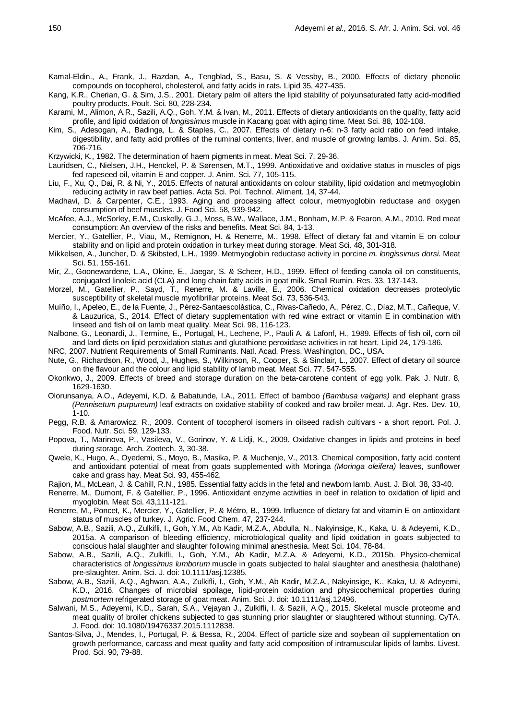- Kamal-Eldin., A., Frank, J., Razdan, A., Tengblad, S., Basu, S. & Vessby, B., 2000. Effects of dietary phenolic compounds on tocopherol, cholesterol, and fatty acids in rats. Lipid 35, 427-435.
- Kang, K.R., Cherian, G. & Sim, J.S., 2001. Dietary palm oil alters the lipid stability of polyunsaturated fatty acid-modified poultry products. Poult. Sci. 80, 228-234.
- Karami, M., Alimon, A.R., Sazili, A.Q., Goh, Y.M. & Ivan, M., 2011. Effects of dietary antioxidants on the quality, fatty acid profile, and lipid oxidation of *longissimus* muscle in Kacang goat with aging time. Meat Sci. 88, 102-108.
- Kim, S., Adesogan, A., Badinga, L. & Staples, C., 2007. Effects of dietary n-6: n-3 fatty acid ratio on feed intake, digestibility, and fatty acid profiles of the ruminal contents, liver, and muscle of growing lambs. J. Anim. Sci. 85, 706-716.
- Krzywicki, K., 1982. The determination of haem pigments in meat. Meat Sci. 7, 29-36.
- Lauridsen, C., Nielsen, J.H., Henckel, P. & Sørensen, M.T., 1999. Antioxidative and oxidative status in muscles of pigs fed rapeseed oil, vitamin E and copper. J. Anim. Sci. 77, 105-115.
- Liu, F., Xu, Q., Dai, R. & Ni, Y., 2015. Effects of natural antioxidants on colour stability, lipid oxidation and metmyoglobin reducing activity in raw beef patties. Acta Sci. Pol. Technol. Aliment. 14, 37-44.
- Madhavi, D. & Carpenter, C.E., 1993. Aging and processing affect colour, metmyoglobin reductase and oxygen consumption of beef muscles. J. Food Sci. 58, 939-942.
- McAfee, A.J., McSorley, E.M., Cuskelly, G.J., Moss, B.W., Wallace, J.M., Bonham, M.P. & Fearon, A.M., 2010. Red meat consumption: An overview of the risks and benefits. Meat Sci. 84, 1-13.
- Mercier, Y., Gatellier, P., Viau, M., Remignon, H. & Renerre, M., 1998. Effect of dietary fat and vitamin E on colour stability and on lipid and protein oxidation in turkey meat during storage. Meat Sci. 48, 301-318.
- Mikkelsen, A., Juncher, D. & Skibsted, L.H., 1999. Metmyoglobin reductase activity in porcine *m. longissimus dorsi*. Meat Sci. 51, 155-161.
- Mir, Z., Goonewardene, L.A., Okine, E., Jaegar, S. & Scheer, H.D., 1999. Effect of feeding canola oil on constituents, conjugated linoleic acid (CLA) and long chain fatty acids in goat milk. Small Rumin. Res. 33, 137-143.
- Morzel, M., Gatellier, P., Sayd, T., Renerre, M. & Laville, E., 2006. Chemical oxidation decreases proteolytic susceptibility of skeletal muscle myofibrillar proteins. Meat Sci. 73, 536-543.
- Muíño, I., Apeleo, E., de la Fuente, J., Pérez-Santaescolástica, C., Rivas-Cañedo, A., Pérez, C., Díaz, M.T., Cañeque, V. & Lauzurica, S., 2014. Effect of dietary supplementation with red wine extract or vitamin E in combination with linseed and fish oil on lamb meat quality. Meat Sci. 98, 116-123.
- Nalbone, G., Leonardi, J., Termine, E., Portugal, H., Lechene, P., Pauli A. & Lafonf, H., 1989. Effects of fish oil, corn oil and lard diets on lipid peroxidation status and glutathione peroxidase activities in rat heart. Lipid 24, 179-186.
- NRC, 2007. Nutrient Requirements of Small Ruminants. Natl. Acad. Press. Washington, DC., USA.
- Nute, G., Richardson, R., Wood, J., Hughes, S., Wilkinson, R., Cooper, S. & Sinclair, L., 2007. Effect of dietary oil source on the flavour and the colour and lipid stability of lamb meat. Meat Sci. 77, 547-555.
- Okonkwo, J., 2009. Effects of breed and storage duration on the beta-carotene content of egg yolk. Pak. J. Nutr. 8, 1629-1630.
- Olorunsanya, A.O., Adeyemi, K.D. & Babatunde, I.A., 2011. Effect of bamboo *(Bambusa valgaris)* and elephant grass *(Pennisetum purpureum)* leaf extracts on oxidative stability of cooked and raw broiler meat. J. Agr. Res. Dev. 10, 1-10.
- Pegg, R.B. & Amarowicz, R., 2009. Content of tocopherol isomers in oilseed radish cultivars a short report. Pol. J. Food. Nutr. Sci*.* 59, 129-133.
- Popova, T., Marinova, P., Vasileva, V., Gorinov, Y. & Lidji, K., 2009. Oxidative changes in lipids and proteins in beef during storage. Arch. Zootech. 3, 30-38.
- Qwele, K., Hugo, A., Oyedemi, S., Moyo, B., Masika, P. & Muchenje, V., 2013. Chemical composition, fatty acid content and antioxidant potential of meat from goats supplemented with Moringa *(Moringa oleifera)* leaves, sunflower cake and grass hay. Meat Sci. 93, 455-462.
- Rajion, M., McLean, J. & Cahill, R.N., 1985. Essential fatty acids in the fetal and newborn lamb. Aust. J. Biol. 38, 33-40.
- Renerre, M., Dumont, F. & Gatellier, P., 1996. Antioxidant enzyme activities in beef in relation to oxidation of lipid and myoglobin. Meat Sci. 43,111-121.
- Renerre, M., Poncet, K., Mercier, Y., Gatellier, P. & Métro, B., 1999. Influence of dietary fat and vitamin E on antioxidant status of muscles of turkey. J. Agric. Food Chem. 47, 237-244.
- Sabow, A.B., Sazili, A.Q., Zulkifli, I., Goh, Y.M., Ab Kadir, M.Z.A., Abdulla, N., Nakyinsige, K., Kaka, U. & Adeyemi, K.D., 2015a. A comparison of bleeding efficiency, microbiological quality and lipid oxidation in goats subjected to conscious halal slaughter and slaughter following minimal anesthesia. Meat Sci. 104, 78-84.
- Sabow, A.B., Sazili, A.Q., Zulkifli, I., Goh, Y.M., Ab Kadir, M.Z.A. & Adeyemi, K.D., 2015b. Physico-chemical characteristics of *longissimus lumborum* muscle in goats subjected to halal slaughter and anesthesia (halothane) pre-slaughter. Anim. Sci. J. doi: 10.1111/asj.12385.
- Sabow, A.B., Sazili, A.Q., Aghwan, A.A., Zulkifli, I., Goh, Y.M., Ab Kadir, M.Z.A., Nakyinsige, K., Kaka, U. & Adeyemi, K.D., 2016. Changes of microbial spoilage, lipid-protein oxidation and physicochemical properties during *postmortem* refrigerated storage of goat meat. Anim. Sci. J. doi: 10.1111/asj.12496.
- Salwani, M.S., Adeyemi, K.D., Sarah, S.A., Vejayan J., Zulkifli, I. & Sazili, A.Q., 2015. Skeletal muscle proteome and meat quality of broiler chickens subjected to gas stunning prior slaughter or slaughtered without stunning. CyTA. J. Food. doi: 10.1080/19476337.2015.1112838.
- Santos-Silva, J., Mendes, I., Portugal, P. & Bessa, R., 2004. Effect of particle size and soybean oil supplementation on growth performance, carcass and meat quality and fatty acid composition of intramuscular lipids of lambs. Livest. Prod. Sci. 90, 79-88.